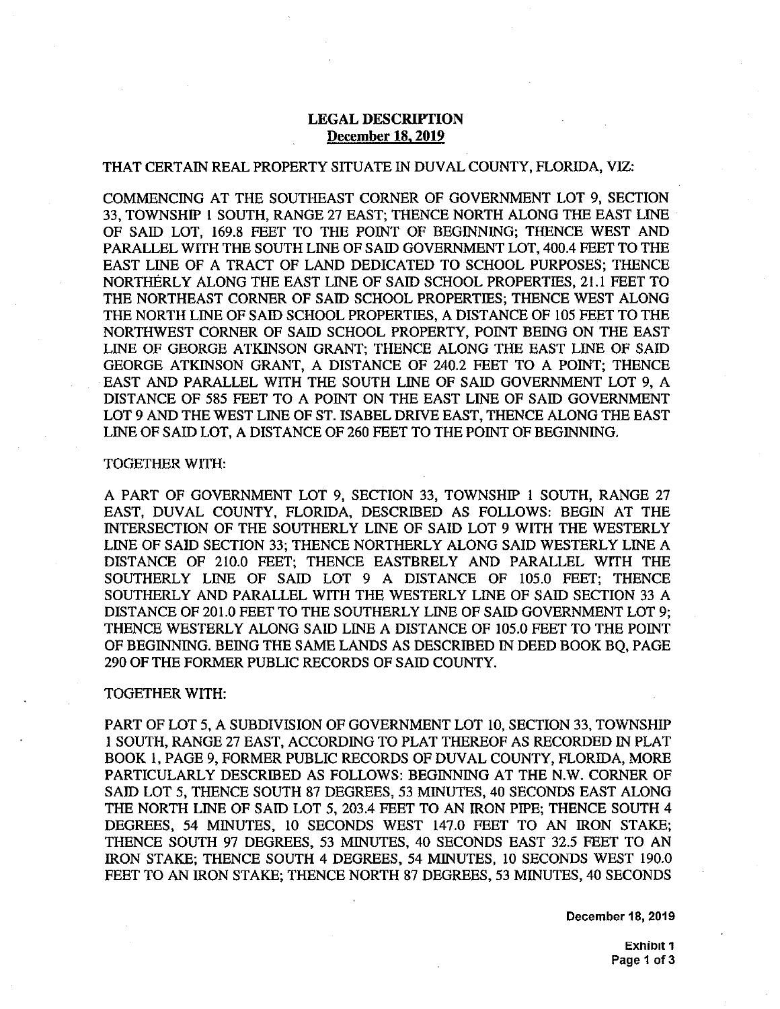## **LEGAL DESCRIPTION December 18.2019**

## THAT CERTAIN REAL PROPERTY SITUATE IN DUVAL COUNTY, FLORIDA, VIZ:

 COMMENCING AT THE SOUTHEAST CORNER OF GOVERNMENT LOT 9, SECTION 33, TOWNSHIP l SOUTH, RANGE 27 EAST; THENCE NORTH ALONG THE EAST LINE PARALLEL WITH THE SOUTH LINE OF SAID GOVERNMENT LOT, 400.4 FEET TO THE EAST LINE OF A TRACT OF LAND DEDICATED TO SCHOOL PURPOSES; THENCE NORTHERLY ALONG THE EAST LINE OF SAID SCHOOL PROPERTIES, 21.1 FEET TO THE NORTHEAST CORNER OF SAID SCHOOL PROPERTIES; THENCE WEST ALONG THE NORTH LINE OF SAID SCHOOL PROPERTIES, A DISTANCE OF 105 FEET TO THE NORTHWEST CORNER OF SAID SCHOOL PROPERTY, POINT BEING ON THE EAST LINE OF GEORGE ATKINSON GRANT; THENCE ALONG THE EAST LINE OF SAID LINE OF GEORGE ATKINSON GRANT; THENCE ALONG THE EAST LINE OF SAID GEORGE ATKINSON GRANT, A DISTANCE OF 240.2 FEET TO A POINT; THENCE EAST AND PARALLEL WITH THE SOUTH LINE OF SAID GOVERNMENT LOT 9, A DISTANCE OF 585 FEET TO A POINT ON THE EAST LINE OF SAID GOVERNMENT LOT 9 AND THE WEST LINE OF ST. ISABEL DRIVE EAST, THENCE ALONG THE EAST LINE OF SAID LOT, A DISTANCE OF 260 FEET TO THE POINT OF BEGINNING. OF SAID LOT, 169.8 FEET TO THE POINT OF BEGINNING; THENCE WEST AND

## TOGETHER WITH:

 A PART OF GOVERNMENT LOT 9, SECTION 33, TOWNSHIP 1 SOUTH, RANGE 27 A PART OF GOVERNMENT LOT 9, SECTION 33, TOWNSHIP 1 SOUTH, RANGE 27<br>EAST, DUVAL COUNTY, FLORIDA, DESCRIBED AS FOLLOWS: BEGIN AT THE<br>DESCRIPCION OF THE SOUTHEN V.L.B.E. OF 9.1 ID.E.O. WITH THE WESTER V. EXIST, BOTHE SOUTH, TEURISM, BESONDED THE TOEBOWS. BECAVITY THE LINE OF SAID SECTION 33; THENCE NORTHERLY ALONG SAID WESTERLY LINE A LINE OF SAID SECTION 33; THENCE NORTHERLY ALONG SAID WESTERLY LINE A<br>DISTANCE OF 210.0 FEET; THENCE EASTBRELY AND PARALLEL WITH THE DISTANCE OF 210.0 FEET; THENCE EASTBRELY AND PARALLEL WITH THE SOUTHERLY LINE OF SAID LOT 9 A DISTANCE OF 105.0 FEET; THENCE SOUTHERLY AND PARALLEL WITH THE WESTERLY LINE OF SAID SECTION 33 A DISTANCE OF 201.0 FEET TO THE SOUTHERLY LINE OF SAID GOVERNMENT LOT 9; THENCE WESTERLY ALONG SAID LINE A DISTANCE OF 105.0 FEET TO THE POINT OF BEGINNING. BEING THE SAME LANDS AS DESCRIBED IN DEED BOOK BQ, PAGE 290 OF THE FORMER PUBLIC RECORDS OF SAID COUNTY.

## TOGETHER WITH:

 PART OF LOT 5, A SUBDIVISION OF GOVERNMENT LOT 10, SECTION 33, TOWNSHIP BOOK 1, PAGE 9, FORMER PUBLIC RECORDS OF DUVAL COUNTY, FLORIDA, MORE PARTICULARLY DESCRIBED AS FOLLOWS: BEGINNING AT THE N.W. CORNER OF SAID LOT 5, THENCE SOUTH 87 DEGREES, 53 MINUTES, 40 SECONDS EAST ALONG THE NORTH LINE OF SAID LOT 5, 203.4 FEET TO AN IRON PIPE; THENCE SOUTH 4 THE NORTH LINE OF SAID LOT 5, 203.4 FEET TO AN IRON PIPE; THENCE SOUTH 4<br>DEGREES, 54 MINUTES, 10 SECONDS WEST 147.0 FEET TO AN IRON STAKE;<br>TIMES ACUTIVES PROPERS 50 VENUTES 10 SECONDS LIST OF STEPH TO 1.1. DEGREES, 54 MINUTES, 10 SECONDS MEST 147.8 TEET TO INV RON STIKES, IRON STAKE; THENCE SOUTH 4 DEGREES, 54 MINUTES, 10 SECONDS WEST 190.0 FEET TO AN IRON STAKE; THENCE NORTH 87 DEGREES, 53 MINUTES, 40 SECONDS 1 SOUTH, RANGE 27 EAST, ACCORDING TO PLAT THEREOF AS RECORDED IN PLAT

**December 18, 2019**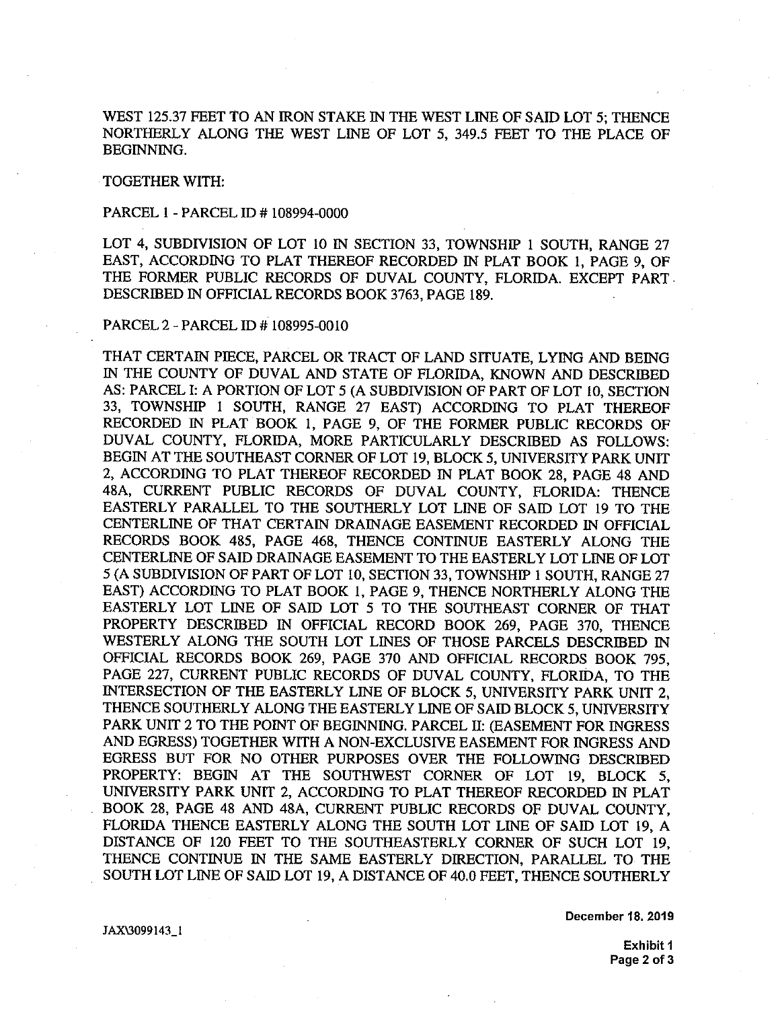WEST 125.37 FEET TO AN IRON STAKE IN THE WEST LINE OF SAID LOT 5; THENCE WEST 125.57 FEET TO AN INON STAKE IN THE WEST LINE OF SAID LOT 5, THENCE<br>NORTHERLY ALONG THE WEST LINE OF LOT 5, 349.5 FEET TO THE PLACE OF BEGINNING.

TOGETHER WITH:

PARCEL 1 - PARCEL ID # 108994-0000

EAST, ACCORDING TO PLAT THEREOF RECORDED IN PLAT BOOK I, PAGE 9, OF<br>THE FORMER PUBLIC RECORDS OF DUVAL COUNTY, FLORIDA. EXCEPT PART DESCRIBED IN OFFICIAL RECORDS BOOK 3763, PAGE 189. LOT 4, SUBDIVISION OF LOT 10 IN SECTION 33, TOWNSHIP 1 SOUTH, RANGE 27 EAST, ACCORDING TO PLAT THEREOF RECORDED IN PLAT BOOK 1, PAGE 9, OF

PARCEL 2 - PARCEL ID # 108995-0010

THAT CERTAIN PIECE, PARCEL OR TRACT OF LAND SITUATE, LYING AND BEING<br>IN THE COUNTY OF DUVAL AND STATE OF FLORIDA, WIONOLAND DESCRIPED THAT CERTAIN PIECE, PARCEL OR TRACT OF LAND SITUATE, LYING AND BEING<br>IN THE COUNTY OF DUVAL AND STATE OF FLORIDA, KNOWN AND DESCRIBED<br>AS: RABCEL LA POPTION OF LOT 5.4A SUPPLIEION OF PART OF LOT 10, SECTION AS: PARCEL I: A PORTION OF LOT 5 (A SUBDIVISION OF PART OF LOT 10, SECTION<br>33, TOWNSHIP 1 SOUTH, RANGE 27 EAST) ACCORDING TO PLAT THEREOF<br>RECORDED IN PLAT BOOK 1, PAGE 9, OF THE FORMER PUBLIC RECORDS OF 33, TOWNSHIP I SOUTH, RANGE 27 EAST) ACCORDING TO PLAT THEREOF RECORDED IN PLAT BOOK 1, PAGE 9, OF THE FORMER PUBLIC RECORDS OF DUVAL COUNTY, FLORIDA, MORE PARTICULARLY DESCRIBED AS FOLLOWS: RECORDED IN PLAT BOOK 1, PAGE 9, OF THE FORMER PUBLIC RECORDS OF<br>DUVAL COUNTY, FLORIDA, MORE PARTICULARLY DESCRIBED AS FOLLOWS:<br>BEGIN AT THE SOUTHEAST CORNER OF LOT 19, BLOCK 5, UNIVERSITY PARK UNIT 2, ACCORDING TO PLAT THEREOF RECORDED IN PLAT BOOK 28, PAGE 48 AND 48A, CURRENT PUBLIC RECORDS OF DUVAL COUNTY, FLORIDA: THENCE EASTERLY PARALLEL TO THE SOUTHERLY LOT LINE OF SAID LOT 19 TO THE E<br>= CENTERLINE OF SAID DRAINAGE EASEMENT TO THE EASTERLY LOT LINE OF LOT 5 (A SUBDIVISION OF PART OF LOT 10, SECTION 33, TOWNSHIP 1 SOUTH, RANGE 27<br>EAST) ACCORDING TO PLAT BOOK 1, PAGE 9, THENCE NORTHERLY ALONG THE<br>EASTEPLY A OT JUNE OF SAID JOT 5, TO THE SOUTHEAST CODATE OF THAT EAST) ACCORDING TO PLAT BOOK 1, PAGE 9, THENCE NORTHERLY ALONG THE EASTERLY LOT LINE OF SAID LOT 5 TO THE SOUTHEAST CORNER OF THAT EASTERLY LOT LINE OF SAID LOT 5 TO THE SOUTHEAST CORNER OF THAT EASTERLY LOT LINE OF SAID LOT 5 TO THE SOUTHEAST CORNER OF THAT<br>PROPERTY DESCRIBED IN OFFICIAL RECORD BOOK 269, PAGE 370, THENCE<br>WESTEDLY ALONG THE SOUTH LOT LINES OF THOSE BARGES AFSODEED. IN WESTERLY ALONG THE SOUTH LOT LINES OF THOSE PARCELS DESCRIBED IN OFFICIAL RECORDS BOOK 269, PAGE 370 AND OFFICIAL RECORDS BOOK 795, PAGE 227, CURRENT PUBLIC RECORDS OF DUVAL COUNTY, FLORIDA, TO THE OFFICIAL RECORDS BOOK 269, PAGE 370 AND OFFICIAL RECORDS BOOK 795, PAGE 227, CURRENT PUBLIC RECORDS OF DUVAL COUNTY, FLORIDA, TO THE INTERSECTION OF THE EASTERLY LINE OF BLOCK 5, UNIVERSITY PARK UNIT 2, THENCE SOUTHERLY ALONG THE EASTERLY LINE OF SAID BLOCK 5, UNIVERSITY PARK UNIT 2 TO THE POINT OF BEGINNING. PARCEL II: (EASEMENT FOR INGRESS<br>AND EGRESS) TOGETHER WITH A NON-EXCLUSIVE EASEMENT FOR INGRESS AND<br>EGRESS BUT FOR NO OTHER PURPOSES OVER THE FOLLOWING DESCRIBED<br>PROPERTY: PEGNI AT TH AND EGRESS) TOGETHER WITH A NON-EXCLUSIVE EASEMENT FOR INGRESS AND H A NON-EXCLUSIVE<br>R PURPOSES OVER<br>SOUTHWEST CORI<br>CCOBDING TO BLAT EGRESS BUT FOR NO OTHER PURPOSES OVER THE FOLLOWING DESCRIBED<br>PROPERTY: BEGIN AT THE SOUTHWEST CORNER OF LOT 19, BLOCK 5,<br>UNIVERSITY PARK UNIT 2, ACCORDING TO PLAT THEREOF RECORDED IN PLAT BOOK 28, PAGE 48 AND 48A, CURRENT PUBLIC RECORDS OF DUVAL COUNTY, FLORIDA THENCE EASTERLY ALONG THE SOUTH LOT LINE OF SAID LOT 19, A DISTANCE OF 120 FEET TO THE SOUTHEASTERLY CORNER OF SUCH LOT 19. FLORIDA THENCE EASTERLY ALONG THE SOUTH LOT LINE OF SAID LOT 19, A<br>DISTANCE OF 120 FEET TO THE SOUTHEASTERLY CORNER OF SUCH LOT 19,<br>THENCE CONTINUE IN THE SAME EASTERLY DIRECTION, PARALLEL TO THE<br>SOUTH LOT LAT OF SAID LOT SOUTH LOT LINE OF SAID LOT 19, A DISTANCE OF 40.0 FEET, THENCE SOUTHERLY IN THE COUNTY OF DUVAL AND STATE OF FLORIDA, KNOWN AND DESCRIBED<br>AS: PARCEL I: A PORTION OF LOT 5 (A SUBDIVISION OF PART OF LOT 10, SECTION<br>22 . TOWARUM 1: SOUTH DANGE 27 . FASTA 400 OF PART OF LY 1.0 SILEDER BEGIN AT THE SOUTHEAST CORNER OF LOT 19, BLOCK 5, UNIVERSITY PARK UNIT<br>2, ACCORDING TO PLAT THEREOF RECORDED IN PLAT BOOK 28, PAGE 48 AND<br>48.4 CUPPENT, PUPLIC, PEGOPPS, OF, PULLI, COUNTY, FLORID 1, TUPLICI 48A, CURRENT PUBLIC RECORDS OF DUVAL COUNTY, FLORIDA: THENCE EASTERLY PARALLEL TO THE SOUTHERLY LOT LINE OF SAID LOT 19 TO THE CENTERLINE OF THAT CERTAIN DRAINAGE EASEMENT RECORDED IN OFFICIAL RECORDS BOOK 485, PAGE 468, THENCE CONTINUE EASTERLY ALONG THE CENTERLY ALONG THE CENTERLY RECORDS BOOK 485, PAGE 468, THENCE CONTINUE EASTERLY ALONG THE CENTERLINE OF SAID DRAINAGE EASEMENT TO THE EASTERLY LOT LINE OF LOT 5 (A SUBDIVISION OF PART OF LOT 10, SECTION 33, TOWNSHIP 1 SOUTH, RANGE 27<br>EASTER ACCORDIN PROPERTY DESCRIBED IN OFFICIAL RECORD BOOK 269, PAGE 370, THENCE<br>WESTERLY ALONG THE SOUTH LOT LINES OF THOSE PARCELS DESCRIBED IN<br>OFFICIAL RECORDS BOOK 269, PAGE 370 AND OFFICIAL RECORDS BOOK 795,<br>PAGE 227, CURRENT PUBLIC INTERSECTION OF THE EASTERLY LINE OF BLOCK 5, UNIVERSITY PARK UNIT 2,<br>THENCE SOUTHERLY ALONG THE EASTERLY LINE OF SAID BLOCK 5, UNIVERSITY<br>PARK UNIT 2 TO THE POINT OF BEGINNING. PARCEL II: (EASEMENT FOR INGRESS<br>AND EGRESS UNIVERSITY PARK UNIT 2, ACCORDING TO PLAT THEREOF RECORDED IN PLAT<br>BOOK 28, PAGE 48 AND 48A, CURRENT PUBLIC RECORDS OF DUVAL COUNTY,<br>FLORIDA THENCE EASTERLY ALONG THE SOUTH LOT LINE OF SAID LOT 19, A THENCE CONTINUE IN THE SAME EASTERLY DIRECTION, PARALLEL TO THE<br>SOUTH LOT LINE OF SAID LOT 19, A DISTANCE OF 40.0 FEET, THENCE SOUTHERLY

**December 18. 2019**